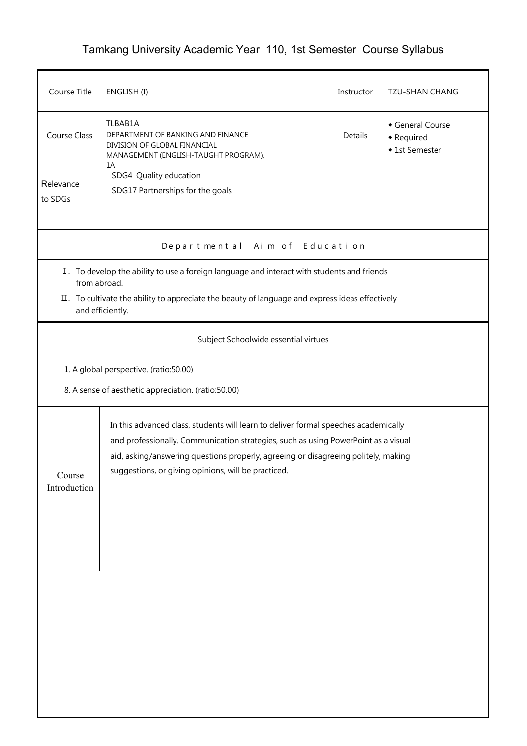## Tamkang University Academic Year 110, 1st Semester Course Syllabus

| Course Title                                                                                                                                                                                                                                                                                                                                     | ENGLISH (I)                                                                                                          |         | <b>TZU-SHAN CHANG</b>                          |  |  |  |  |  |  |
|--------------------------------------------------------------------------------------------------------------------------------------------------------------------------------------------------------------------------------------------------------------------------------------------------------------------------------------------------|----------------------------------------------------------------------------------------------------------------------|---------|------------------------------------------------|--|--|--|--|--|--|
| Course Class                                                                                                                                                                                                                                                                                                                                     | TLBAB1A<br>DEPARTMENT OF BANKING AND FINANCE<br>DIVISION OF GLOBAL FINANCIAL<br>MANAGEMENT (ENGLISH-TAUGHT PROGRAM), | Details | General Course<br>• Required<br>◆ 1st Semester |  |  |  |  |  |  |
| Relevance<br>to SDGs                                                                                                                                                                                                                                                                                                                             | 1A<br>SDG4 Quality education<br>SDG17 Partnerships for the goals                                                     |         |                                                |  |  |  |  |  |  |
| Aim of Education<br>Departmental                                                                                                                                                                                                                                                                                                                 |                                                                                                                      |         |                                                |  |  |  |  |  |  |
| I. To develop the ability to use a foreign language and interact with students and friends<br>from abroad.<br>II. To cultivate the ability to appreciate the beauty of language and express ideas effectively<br>and efficiently.                                                                                                                |                                                                                                                      |         |                                                |  |  |  |  |  |  |
| Subject Schoolwide essential virtues                                                                                                                                                                                                                                                                                                             |                                                                                                                      |         |                                                |  |  |  |  |  |  |
| 1. A global perspective. (ratio:50.00)<br>8. A sense of aesthetic appreciation. (ratio:50.00)                                                                                                                                                                                                                                                    |                                                                                                                      |         |                                                |  |  |  |  |  |  |
| In this advanced class, students will learn to deliver formal speeches academically<br>and professionally. Communication strategies, such as using PowerPoint as a visual<br>aid, asking/answering questions properly, agreeing or disagreeing politely, making<br>suggestions, or giving opinions, will be practiced.<br>Course<br>Introduction |                                                                                                                      |         |                                                |  |  |  |  |  |  |
|                                                                                                                                                                                                                                                                                                                                                  |                                                                                                                      |         |                                                |  |  |  |  |  |  |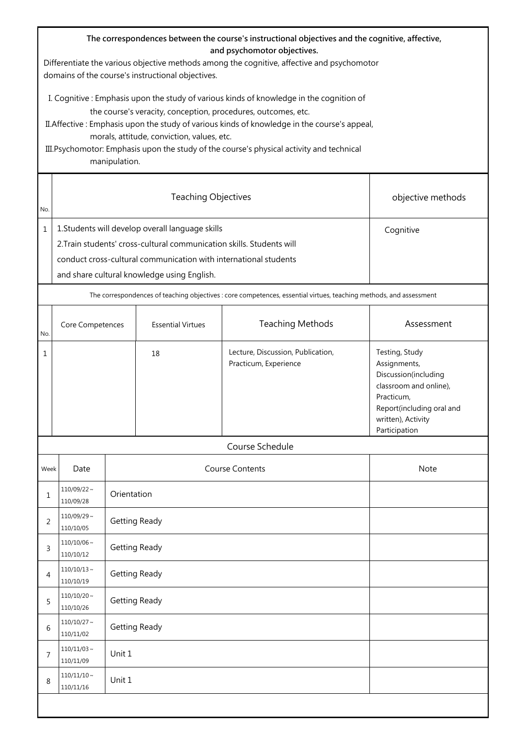| The correspondences between the course's instructional objectives and the cognitive, affective,<br>and psychomotor objectives.<br>Differentiate the various objective methods among the cognitive, affective and psychomotor<br>domains of the course's instructional objectives.                                                                                                                                    |                                                                                                                                                                                                                                              |                      |                          |                                                                                                                    |                                                                                                                                                                    |  |  |  |
|----------------------------------------------------------------------------------------------------------------------------------------------------------------------------------------------------------------------------------------------------------------------------------------------------------------------------------------------------------------------------------------------------------------------|----------------------------------------------------------------------------------------------------------------------------------------------------------------------------------------------------------------------------------------------|----------------------|--------------------------|--------------------------------------------------------------------------------------------------------------------|--------------------------------------------------------------------------------------------------------------------------------------------------------------------|--|--|--|
| I. Cognitive: Emphasis upon the study of various kinds of knowledge in the cognition of<br>the course's veracity, conception, procedures, outcomes, etc.<br>II. Affective: Emphasis upon the study of various kinds of knowledge in the course's appeal,<br>morals, attitude, conviction, values, etc.<br>III. Psychomotor: Emphasis upon the study of the course's physical activity and technical<br>manipulation. |                                                                                                                                                                                                                                              |                      |                          |                                                                                                                    |                                                                                                                                                                    |  |  |  |
| No.                                                                                                                                                                                                                                                                                                                                                                                                                  |                                                                                                                                                                                                                                              |                      | objective methods        |                                                                                                                    |                                                                                                                                                                    |  |  |  |
| $\mathbf{1}$                                                                                                                                                                                                                                                                                                                                                                                                         | 1. Students will develop overall language skills<br>2. Train students' cross-cultural communication skills. Students will<br>conduct cross-cultural communication with international students<br>and share cultural knowledge using English. |                      | Cognitive                |                                                                                                                    |                                                                                                                                                                    |  |  |  |
|                                                                                                                                                                                                                                                                                                                                                                                                                      |                                                                                                                                                                                                                                              |                      |                          | The correspondences of teaching objectives : core competences, essential virtues, teaching methods, and assessment |                                                                                                                                                                    |  |  |  |
| No.                                                                                                                                                                                                                                                                                                                                                                                                                  | Core Competences                                                                                                                                                                                                                             |                      | <b>Essential Virtues</b> | <b>Teaching Methods</b>                                                                                            | Assessment                                                                                                                                                         |  |  |  |
| 1                                                                                                                                                                                                                                                                                                                                                                                                                    |                                                                                                                                                                                                                                              |                      | 18                       | Lecture, Discussion, Publication,<br>Practicum, Experience                                                         | Testing, Study<br>Assignments,<br>Discussion(including<br>classroom and online),<br>Practicum,<br>Report(including oral and<br>written), Activity<br>Participation |  |  |  |
|                                                                                                                                                                                                                                                                                                                                                                                                                      |                                                                                                                                                                                                                                              |                      |                          | Course Schedule                                                                                                    |                                                                                                                                                                    |  |  |  |
| Week                                                                                                                                                                                                                                                                                                                                                                                                                 | Date                                                                                                                                                                                                                                         |                      |                          | <b>Course Contents</b>                                                                                             | Note                                                                                                                                                               |  |  |  |
| 1                                                                                                                                                                                                                                                                                                                                                                                                                    | $110/09/22$ ~<br>110/09/28                                                                                                                                                                                                                   | Orientation          |                          |                                                                                                                    |                                                                                                                                                                    |  |  |  |
| 2                                                                                                                                                                                                                                                                                                                                                                                                                    | $110/09/29$ ~<br>110/10/05                                                                                                                                                                                                                   | <b>Getting Ready</b> |                          |                                                                                                                    |                                                                                                                                                                    |  |  |  |
| 3                                                                                                                                                                                                                                                                                                                                                                                                                    | $110/10/06$ ~<br>110/10/12                                                                                                                                                                                                                   |                      | <b>Getting Ready</b>     |                                                                                                                    |                                                                                                                                                                    |  |  |  |
| 4                                                                                                                                                                                                                                                                                                                                                                                                                    | $110/10/13$ ~<br>110/10/19                                                                                                                                                                                                                   |                      | <b>Getting Ready</b>     |                                                                                                                    |                                                                                                                                                                    |  |  |  |
| 5                                                                                                                                                                                                                                                                                                                                                                                                                    | $110/10/20$ ~<br>110/10/26                                                                                                                                                                                                                   |                      | <b>Getting Ready</b>     |                                                                                                                    |                                                                                                                                                                    |  |  |  |
| 6                                                                                                                                                                                                                                                                                                                                                                                                                    | $110/10/27$ ~<br>110/11/02                                                                                                                                                                                                                   | <b>Getting Ready</b> |                          |                                                                                                                    |                                                                                                                                                                    |  |  |  |
| 7                                                                                                                                                                                                                                                                                                                                                                                                                    | $110/11/03$ ~<br>110/11/09                                                                                                                                                                                                                   | Unit 1               |                          |                                                                                                                    |                                                                                                                                                                    |  |  |  |
| 8                                                                                                                                                                                                                                                                                                                                                                                                                    | $110/11/10 \sim$<br>110/11/16                                                                                                                                                                                                                | Unit 1               |                          |                                                                                                                    |                                                                                                                                                                    |  |  |  |
|                                                                                                                                                                                                                                                                                                                                                                                                                      |                                                                                                                                                                                                                                              |                      |                          |                                                                                                                    |                                                                                                                                                                    |  |  |  |